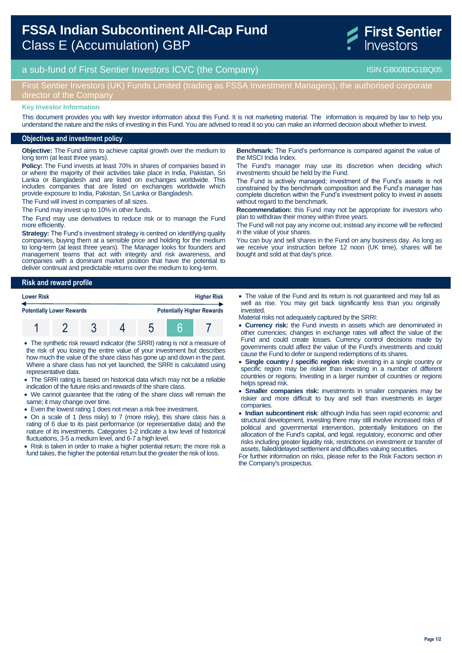# **FSSA Indian Subcontinent All-Cap Fund**  Class E (Accumulation) GBP



a sub-fund of First Sentier Investors ICVC (the Company) and the Company ISIN GB00BDG1BQ05

## First Sentier Investors (UK) Funds Limited (trading as FSSA Investment Managers), the authorised corporate director of the Company

#### **Key Investor Information**

This document provides you with key investor information about this Fund. It is not marketing material. The information is required by law to help you understand the nature and the risks of investing in this Fund. You are advised to read it so you can make an informed decision about whether to invest.

### **Objectives and investment policy**

**Objective:** The Fund aims to achieve capital growth over the medium to long term (at least three years).

**Policy:** The Fund invests at least 70% in shares of companies based in or where the majority of their activities take place in India, Pakistan, Sri Lanka or Bangladesh and are listed on exchanges worldwide. This includes companies that are listed on exchanges worldwide which provide exposure to India, Pakistan, Sri Lanka or Bangladesh.

The Fund will invest in companies of all sizes.

The Fund may invest up to 10% in other funds.

The Fund may use derivatives to reduce risk or to manage the Fund more efficiently.

**Strategy:** The Fund's investment strategy is centred on identifying quality companies, buying them at a sensible price and holding for the medium to long-term (at least three years). The Manager looks for founders and management teams that act with integrity and risk awareness, and companies with a dominant market position that have the potential to deliver continual and predictable returns over the medium to long-term.

**Risk and reward profile Lower Risk Higher Risk**

| <b>Potentially Lower Rewards</b> |  |  | <b>Potentially Higher Rewards</b> |
|----------------------------------|--|--|-----------------------------------|
|                                  |  |  |                                   |

 The synthetic risk reward indicator (the SRRI) rating is not a measure of the risk of you losing the entire value of your investment but describes how much the value of the share class has gone up and down in the past. Where a share class has not yet launched, the SRRI is calculated using representative data.

- The SRRI rating is based on historical data which may not be a reliable indication of the future risks and rewards of the share class.
- We cannot guarantee that the rating of the share class will remain the same; it may change over time.
- Even the lowest rating 1 does not mean a risk free investment.
- On a scale of 1 (less risky) to 7 (more risky), this share class has a rating of 6 due to its past performance (or representative data) and the nature of its investments. Categories 1-2 indicate a low level of historical fluctuations, 3-5 a medium level, and 6-7 a high level.

• Risk is taken in order to make a higher potential return; the more risk a fund takes, the higher the potential return but the greater the risk of loss.

**Benchmark:** The Fund's performance is compared against the value of the MSCI India Index.

The Fund's manager may use its discretion when deciding which investments should be held by the Fund.

The Fund is actively managed; investment of the Fund's assets is not constrained by the benchmark composition and the Fund's manager has complete discretion within the Fund's investment policy to invest in assets without regard to the benchmark.

**Recommendation:** this Fund may not be appropriate for investors who plan to withdraw their money within three years.

The Fund will not pay any income out; instead any income will be reflected in the value of your shares.

You can buy and sell shares in the Fund on any business day. As long as we receive your instruction before 12 noon (UK time), shares will be bought and sold at that day's price.

- The value of the Fund and its return is not guaranteed and may fall as well as rise. You may get back significantly less than you originally invested.
- Material risks not adequately captured by the SRRI:
- **Currency risk:** the Fund invests in assets which are denominated in other currencies; changes in exchange rates will affect the value of the Fund and could create losses. Currency control decisions made by governments could affect the value of the Fund's investments and could cause the Fund to defer or suspend redemptions of its shares.
- **Single country / specific region risk:** investing in a single country or specific region may be riskier than investing in a number of different countries or regions. Investing in a larger number of countries or regions helps spread risk.
- **Smaller companies risk:** investments in smaller companies may be riskier and more difficult to buy and sell than investments in larger companies.
- **Indian subcontinent risk**: although India has seen rapid economic and structural development, investing there may still involve increased risks of political and governmental intervention, potentially limitations on the allocation of the Fund's capital, and legal, regulatory, economic and other risks including greater liquidity risk, restrictions on investment or transfer of assets, failed/delayed settlement and difficulties valuing securities.

For further information on risks, please refer to the Risk Factors section in the Company's prospectus.